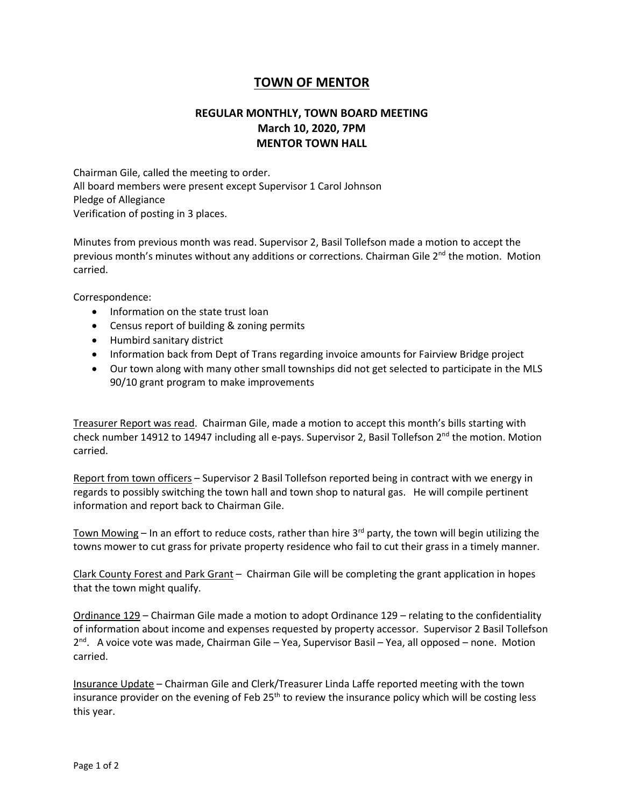## **TOWN OF MENTOR**

## **REGULAR MONTHLY, TOWN BOARD MEETING March 10, 2020, 7PM MENTOR TOWN HALL**

Chairman Gile, called the meeting to order. All board members were present except Supervisor 1 Carol Johnson Pledge of Allegiance Verification of posting in 3 places.

Minutes from previous month was read. Supervisor 2, Basil Tollefson made a motion to accept the previous month's minutes without any additions or corrections. Chairman Gile 2<sup>nd</sup> the motion. Motion carried.

Correspondence:

- Information on the state trust loan
- Census report of building & zoning permits
- Humbird sanitary district
- Information back from Dept of Trans regarding invoice amounts for Fairview Bridge project
- Our town along with many other small townships did not get selected to participate in the MLS 90/10 grant program to make improvements

Treasurer Report was read. Chairman Gile, made a motion to accept this month's bills starting with check number 14912 to 14947 including all e-pays. Supervisor 2, Basil Tollefson 2<sup>nd</sup> the motion. Motion carried.

Report from town officers – Supervisor 2 Basil Tollefson reported being in contract with we energy in regards to possibly switching the town hall and town shop to natural gas. He will compile pertinent information and report back to Chairman Gile.

Town Mowing - In an effort to reduce costs, rather than hire 3<sup>rd</sup> party, the town will begin utilizing the towns mower to cut grass for private property residence who fail to cut their grass in a timely manner.

Clark County Forest and Park Grant – Chairman Gile will be completing the grant application in hopes that the town might qualify.

Ordinance 129 – Chairman Gile made a motion to adopt Ordinance 129 – relating to the confidentiality of information about income and expenses requested by property accessor. Supervisor 2 Basil Tollefson 2<sup>nd</sup>. A voice vote was made, Chairman Gile – Yea, Supervisor Basil – Yea, all opposed – none. Motion carried.

Insurance Update – Chairman Gile and Clerk/Treasurer Linda Laffe reported meeting with the town insurance provider on the evening of Feb 25<sup>th</sup> to review the insurance policy which will be costing less this year.